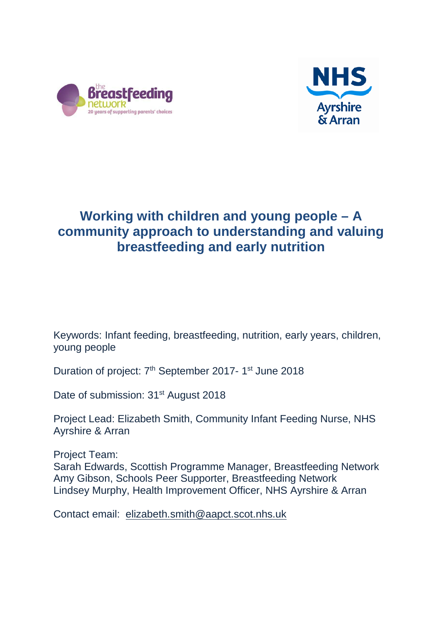



# **Working with children and young people – A community approach to understanding and valuing breastfeeding and early nutrition**

Keywords: Infant feeding, breastfeeding, nutrition, early years, children, young people

Duration of project: 7<sup>th</sup> September 2017- 1<sup>st</sup> June 2018

Date of submission: 31<sup>st</sup> August 2018

Project Lead: Elizabeth Smith, Community Infant Feeding Nurse, NHS Ayrshire & Arran

Project Team: Sarah Edwards, Scottish Programme Manager, Breastfeeding Network Amy Gibson, Schools Peer Supporter, Breastfeeding Network Lindsey Murphy, Health Improvement Officer, NHS Ayrshire & Arran

Contact email: [elizabeth.smith@aapct.scot.nhs.uk](mailto:elizabeth.smith@aapct.scot.nhs.uk)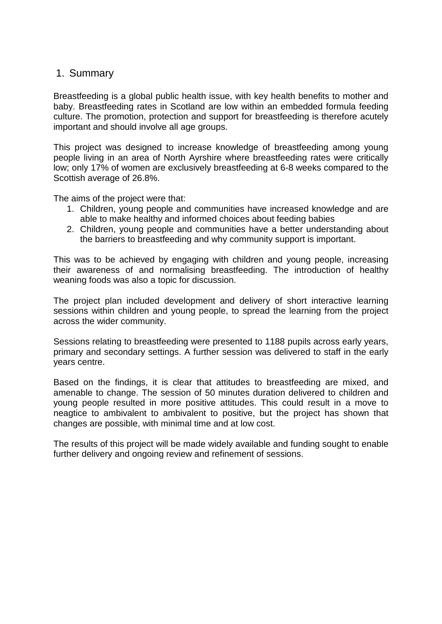### 1. Summary

Breastfeeding is a global public health issue, with key health benefits to mother and baby. Breastfeeding rates in Scotland are low within an embedded formula feeding culture. The promotion, protection and support for breastfeeding is therefore acutely important and should involve all age groups.

This project was designed to increase knowledge of breastfeeding among young people living in an area of North Ayrshire where breastfeeding rates were critically low; only 17% of women are exclusively breastfeeding at 6-8 weeks compared to the Scottish average of 26.8%.

The aims of the project were that:

- 1. Children, young people and communities have increased knowledge and are able to make healthy and informed choices about feeding babies
- 2. Children, young people and communities have a better understanding about the barriers to breastfeeding and why community support is important.

This was to be achieved by engaging with children and young people, increasing their awareness of and normalising breastfeeding. The introduction of healthy weaning foods was also a topic for discussion.

The project plan included development and delivery of short interactive learning sessions within children and young people, to spread the learning from the project across the wider community.

Sessions relating to breastfeeding were presented to 1188 pupils across early years, primary and secondary settings. A further session was delivered to staff in the early years centre.

Based on the findings, it is clear that attitudes to breastfeeding are mixed, and amenable to change. The session of 50 minutes duration delivered to children and young people resulted in more positive attitudes. This could result in a move to neagtice to ambivalent to ambivalent to positive, but the project has shown that changes are possible, with minimal time and at low cost.

The results of this project will be made widely available and funding sought to enable further delivery and ongoing review and refinement of sessions.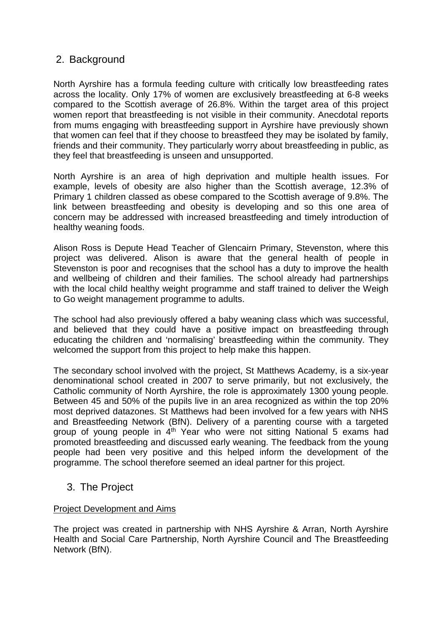## 2. Background

North Ayrshire has a formula feeding culture with critically low breastfeeding rates across the locality. Only 17% of women are exclusively breastfeeding at 6-8 weeks compared to the Scottish average of 26.8%. Within the target area of this project women report that breastfeeding is not visible in their community. Anecdotal reports from mums engaging with breastfeeding support in Ayrshire have previously shown that women can feel that if they choose to breastfeed they may be isolated by family, friends and their community. They particularly worry about breastfeeding in public, as they feel that breastfeeding is unseen and unsupported.

North Ayrshire is an area of high deprivation and multiple health issues. For example, levels of obesity are also higher than the Scottish average, 12.3% of Primary 1 children classed as obese compared to the Scottish average of 9.8%. The link between breastfeeding and obesity is developing and so this one area of concern may be addressed with increased breastfeeding and timely introduction of healthy weaning foods.

Alison Ross is Depute Head Teacher of Glencairn Primary, Stevenston, where this project was delivered. Alison is aware that the general health of people in Stevenston is poor and recognises that the school has a duty to improve the health and wellbeing of children and their families. The school already had partnerships with the local child healthy weight programme and staff trained to deliver the Weigh to Go weight management programme to adults.

The school had also previously offered a baby weaning class which was successful, and believed that they could have a positive impact on breastfeeding through educating the children and 'normalising' breastfeeding within the community. They welcomed the support from this project to help make this happen.

The secondary school involved with the project, St Matthews Academy, is a six-year denominational school created in 2007 to serve primarily, but not exclusively, the Catholic community of North Ayrshire, the role is approximately 1300 young people. Between 45 and 50% of the pupils live in an area recognized as within the top 20% most deprived datazones. St Matthews had been involved for a few years with NHS and Breastfeeding Network (BfN). Delivery of a parenting course with a targeted group of young people in  $4<sup>th</sup>$  Year who were not sitting National 5 exams had promoted breastfeeding and discussed early weaning. The feedback from the young people had been very positive and this helped inform the development of the programme. The school therefore seemed an ideal partner for this project.

## 3. The Project

### Project Development and Aims

The project was created in partnership with NHS Ayrshire & Arran, North Ayrshire Health and Social Care Partnership, North Ayrshire Council and The Breastfeeding Network (BfN).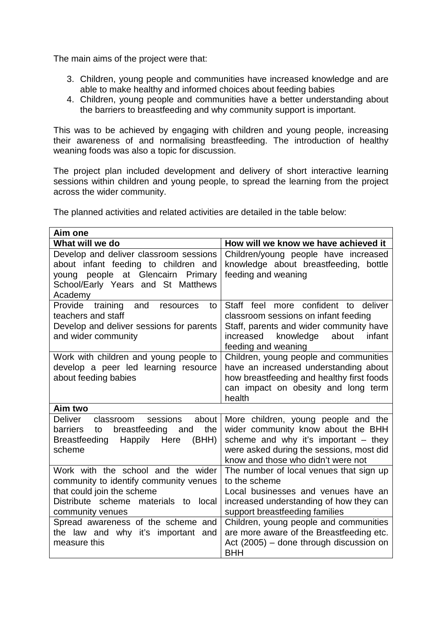The main aims of the project were that:

- 3. Children, young people and communities have increased knowledge and are able to make healthy and informed choices about feeding babies
- 4. Children, young people and communities have a better understanding about the barriers to breastfeeding and why community support is important.

This was to be achieved by engaging with children and young people, increasing their awareness of and normalising breastfeeding. The introduction of healthy weaning foods was also a topic for discussion.

The project plan included development and delivery of short interactive learning sessions within children and young people, to spread the learning from the project across the wider community.

The planned activities and related activities are detailed in the table below:

| Aim one                                                                                                                                                                                                                                                               |                                                                                                                                                                                                                                                                                                                             |
|-----------------------------------------------------------------------------------------------------------------------------------------------------------------------------------------------------------------------------------------------------------------------|-----------------------------------------------------------------------------------------------------------------------------------------------------------------------------------------------------------------------------------------------------------------------------------------------------------------------------|
| What will we do                                                                                                                                                                                                                                                       | How will we know we have achieved it                                                                                                                                                                                                                                                                                        |
| Develop and deliver classroom sessions<br>about infant feeding to children and<br>young people at Glencairn Primary<br>School/Early Years and St Matthews<br>Academy                                                                                                  | Children/young people have increased<br>knowledge about breastfeeding, bottle<br>feeding and weaning                                                                                                                                                                                                                        |
| Provide<br>training<br>and<br>resources<br>to<br>teachers and staff<br>Develop and deliver sessions for parents<br>and wider community                                                                                                                                | Staff feel more confident to<br>deliver<br>classroom sessions on infant feeding<br>Staff, parents and wider community have<br>increased<br>knowledge<br>about<br>infant<br>feeding and weaning                                                                                                                              |
| Work with children and young people to<br>develop a peer led learning resource<br>about feeding babies                                                                                                                                                                | Children, young people and communities<br>have an increased understanding about<br>how breastfeeding and healthy first foods<br>can impact on obesity and long term<br>health                                                                                                                                               |
| Aim two                                                                                                                                                                                                                                                               |                                                                                                                                                                                                                                                                                                                             |
| <b>Deliver</b><br>classroom<br>sessions<br>about<br>the<br>breastfeeding<br>barriers<br>to<br>and<br><b>Breastfeeding</b><br>Happily Here<br>(BHH)<br>scheme                                                                                                          | More children, young people and the<br>wider community know about the BHH<br>scheme and why it's important $-$ they<br>were asked during the sessions, most did<br>know and those who didn't were not                                                                                                                       |
| Work with the school and the wider<br>community to identify community venues<br>that could join the scheme<br>Distribute scheme materials to<br>local<br>community venues<br>Spread awareness of the scheme and<br>the law and why it's important and<br>measure this | The number of local venues that sign up<br>to the scheme<br>Local businesses and venues have an<br>increased understanding of how they can<br>support breastfeeding families<br>Children, young people and communities<br>are more aware of the Breastfeeding etc.<br>Act (2005) – done through discussion on<br><b>BHH</b> |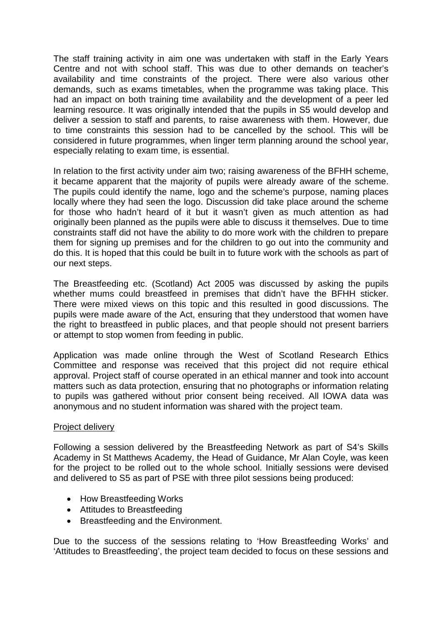The staff training activity in aim one was undertaken with staff in the Early Years Centre and not with school staff. This was due to other demands on teacher's availability and time constraints of the project. There were also various other demands, such as exams timetables, when the programme was taking place. This had an impact on both training time availability and the development of a peer led learning resource. It was originally intended that the pupils in S5 would develop and deliver a session to staff and parents, to raise awareness with them. However, due to time constraints this session had to be cancelled by the school. This will be considered in future programmes, when linger term planning around the school year, especially relating to exam time, is essential.

In relation to the first activity under aim two; raising awareness of the BFHH scheme, it became apparent that the majority of pupils were already aware of the scheme. The pupils could identify the name, logo and the scheme's purpose, naming places locally where they had seen the logo. Discussion did take place around the scheme for those who hadn't heard of it but it wasn't given as much attention as had originally been planned as the pupils were able to discuss it themselves. Due to time constraints staff did not have the ability to do more work with the children to prepare them for signing up premises and for the children to go out into the community and do this. It is hoped that this could be built in to future work with the schools as part of our next steps.

The Breastfeeding etc. (Scotland) Act 2005 was discussed by asking the pupils whether mums could breastfeed in premises that didn't have the BFHH sticker. There were mixed views on this topic and this resulted in good discussions. The pupils were made aware of the Act, ensuring that they understood that women have the right to breastfeed in public places, and that people should not present barriers or attempt to stop women from feeding in public.

Application was made online through the West of Scotland Research Ethics Committee and response was received that this project did not require ethical approval. Project staff of course operated in an ethical manner and took into account matters such as data protection, ensuring that no photographs or information relating to pupils was gathered without prior consent being received. All IOWA data was anonymous and no student information was shared with the project team.

#### Project delivery

Following a session delivered by the Breastfeeding Network as part of S4's Skills Academy in St Matthews Academy, the Head of Guidance, Mr Alan Coyle, was keen for the project to be rolled out to the whole school. Initially sessions were devised and delivered to S5 as part of PSE with three pilot sessions being produced:

- How Breastfeeding Works
- Attitudes to Breastfeeding
- Breastfeeding and the Environment.

Due to the success of the sessions relating to 'How Breastfeeding Works' and 'Attitudes to Breastfeeding', the project team decided to focus on these sessions and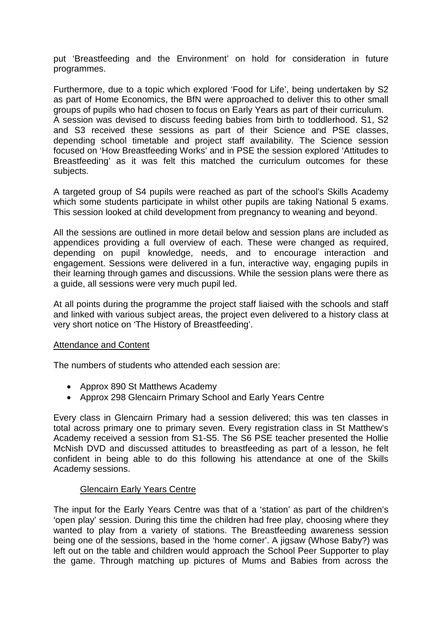put 'Breastfeeding and the Environment' on hold for consideration in future programmes.

Furthermore, due to a topic which explored 'Food for Life', being undertaken by S2 as part of Home Economics, the BfN were approached to deliver this to other small groups of pupils who had chosen to focus on Early Years as part of their curriculum. A session was devised to discuss feeding babies from birth to toddlerhood. S1, S2 and S3 received these sessions as part of their Science and PSE classes, depending school timetable and project staff availability. The Science session focused on 'How Breastfeeding Works' and in PSE the session explored 'Attitudes to Breastfeeding' as it was felt this matched the curriculum outcomes for these subjects.

A targeted group of S4 pupils were reached as part of the school's Skills Academy which some students participate in whilst other pupils are taking National 5 exams. This session looked at child development from pregnancy to weaning and beyond.

All the sessions are outlined in more detail below and session plans are included as appendices providing a full overview of each. These were changed as required, depending on pupil knowledge, needs, and to encourage interaction and engagement. Sessions were delivered in a fun, interactive way, engaging pupils in their learning through games and discussions. While the session plans were there as a guide, all sessions were very much pupil led.

At all points during the programme the project staff liaised with the schools and staff and linked with various subject areas, the project even delivered to a history class at very short notice on 'The History of Breastfeeding'.

### Attendance and Content

The numbers of students who attended each session are:

- Approx 890 St Matthews Academy
- Approx 298 Glencairn Primary School and Early Years Centre

Every class in Glencairn Primary had a session delivered; this was ten classes in total across primary one to primary seven. Every registration class in St Matthew's Academy received a session from S1-S5. The S6 PSE teacher presented the Hollie McNish DVD and discussed attitudes to breastfeeding as part of a lesson, he felt confident in being able to do this following his attendance at one of the Skills Academy sessions.

### Glencairn Early Years Centre

The input for the Early Years Centre was that of a 'station' as part of the children's 'open play' session. During this time the children had free play, choosing where they wanted to play from a variety of stations. The Breastfeeding awareness session being one of the sessions, based in the 'home corner'. A jigsaw (Whose Baby?) was left out on the table and children would approach the School Peer Supporter to play the game. Through matching up pictures of Mums and Babies from across the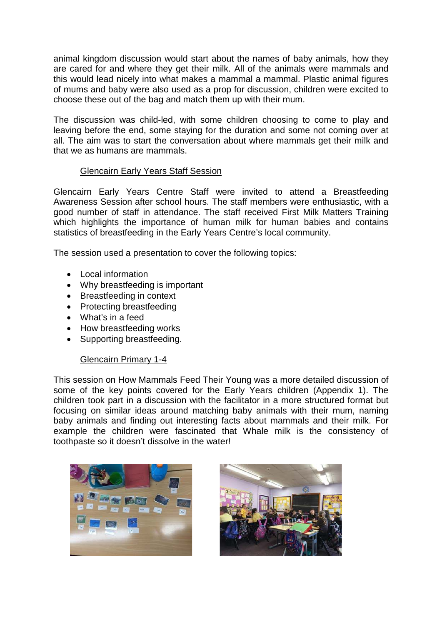animal kingdom discussion would start about the names of baby animals, how they are cared for and where they get their milk. All of the animals were mammals and this would lead nicely into what makes a mammal a mammal. Plastic animal figures of mums and baby were also used as a prop for discussion, children were excited to choose these out of the bag and match them up with their mum.

The discussion was child-led, with some children choosing to come to play and leaving before the end, some staying for the duration and some not coming over at all. The aim was to start the conversation about where mammals get their milk and that we as humans are mammals.

### Glencairn Early Years Staff Session

Glencairn Early Years Centre Staff were invited to attend a Breastfeeding Awareness Session after school hours. The staff members were enthusiastic, with a good number of staff in attendance. The staff received First Milk Matters Training which highlights the importance of human milk for human babies and contains statistics of breastfeeding in the Early Years Centre's local community.

The session used a presentation to cover the following topics:

- Local information
- Why breastfeeding is important
- Breastfeeding in context
- Protecting breastfeeding
- What's in a feed
- How breastfeeding works
- Supporting breastfeeding.

### Glencairn Primary 1-4

This session on How Mammals Feed Their Young was a more detailed discussion of some of the key points covered for the Early Years children (Appendix 1). The children took part in a discussion with the facilitator in a more structured format but focusing on similar ideas around matching baby animals with their mum, naming baby animals and finding out interesting facts about mammals and their milk. For example the children were fascinated that Whale milk is the consistency of toothpaste so it doesn't dissolve in the water!



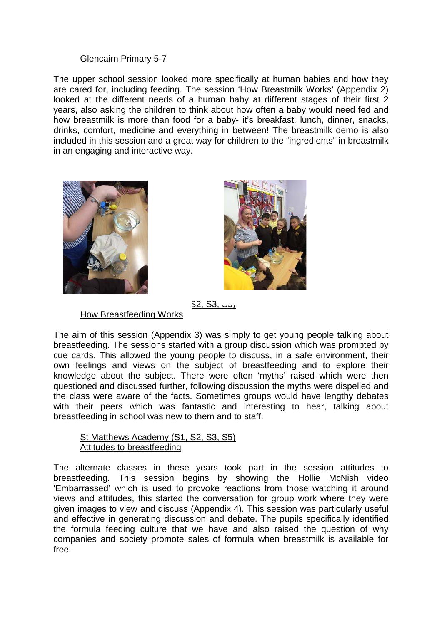### Glencairn Primary 5-7

The upper school session looked more specifically at human babies and how they are cared for, including feeding. The session 'How Breastmilk Works' (Appendix 2) looked at the different needs of a human baby at different stages of their first 2 years, also asking the children to think about how often a baby would need fed and how breastmilk is more than food for a baby- it's breakfast, lunch, dinner, snacks, drinks, comfort, medicine and everything in between! The breastmilk demo is also included in this session and a great way for children to the "ingredients" in breastmilk in an engaging and interactive way.





S2, S3, رن

How Breastfeeding Works

The aim of this session (Appendix 3) was simply to get young people talking about breastfeeding. The sessions started with a group discussion which was prompted by cue cards. This allowed the young people to discuss, in a safe environment, their own feelings and views on the subject of breastfeeding and to explore their knowledge about the subject. There were often 'myths' raised which were then questioned and discussed further, following discussion the myths were dispelled and the class were aware of the facts. Sometimes groups would have lengthy debates with their peers which was fantastic and interesting to hear, talking about breastfeeding in school was new to them and to staff.

### St Matthews Academy (S1, S2, S3, S5) Attitudes to breastfeeding

The alternate classes in these years took part in the session attitudes to breastfeeding. This session begins by showing the Hollie McNish video 'Embarrassed' which is used to provoke reactions from those watching it around views and attitudes, this started the conversation for group work where they were given images to view and discuss (Appendix 4). This session was particularly useful and effective in generating discussion and debate. The pupils specifically identified the formula feeding culture that we have and also raised the question of why companies and society promote sales of formula when breastmilk is available for free.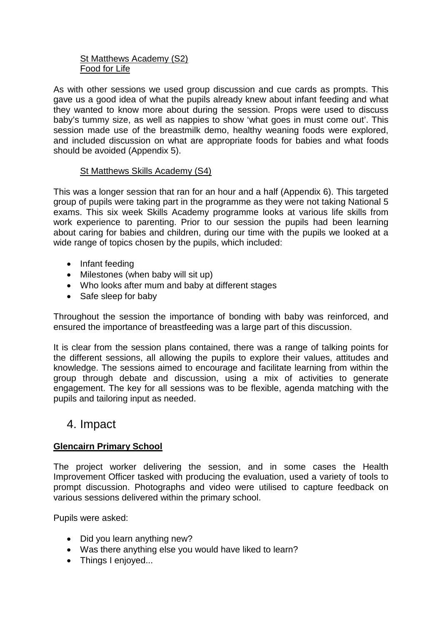### St Matthews Academy (S2) Food for Life

As with other sessions we used group discussion and cue cards as prompts. This gave us a good idea of what the pupils already knew about infant feeding and what they wanted to know more about during the session. Props were used to discuss baby's tummy size, as well as nappies to show 'what goes in must come out'. This session made use of the breastmilk demo, healthy weaning foods were explored, and included discussion on what are appropriate foods for babies and what foods should be avoided (Appendix 5).

### St Matthews Skills Academy (S4)

This was a longer session that ran for an hour and a half (Appendix 6). This targeted group of pupils were taking part in the programme as they were not taking National 5 exams. This six week Skills Academy programme looks at various life skills from work experience to parenting. Prior to our session the pupils had been learning about caring for babies and children, during our time with the pupils we looked at a wide range of topics chosen by the pupils, which included:

- Infant feeding
- Milestones (when baby will sit up)
- Who looks after mum and baby at different stages
- Safe sleep for baby

Throughout the session the importance of bonding with baby was reinforced, and ensured the importance of breastfeeding was a large part of this discussion.

It is clear from the session plans contained, there was a range of talking points for the different sessions, all allowing the pupils to explore their values, attitudes and knowledge. The sessions aimed to encourage and facilitate learning from within the group through debate and discussion, using a mix of activities to generate engagement. The key for all sessions was to be flexible, agenda matching with the pupils and tailoring input as needed.

## 4. Impact

## **Glencairn Primary School**

The project worker delivering the session, and in some cases the Health Improvement Officer tasked with producing the evaluation, used a variety of tools to prompt discussion. Photographs and video were utilised to capture feedback on various sessions delivered within the primary school.

Pupils were asked:

- Did you learn anything new?
- Was there anything else you would have liked to learn?
- Things I enjoved...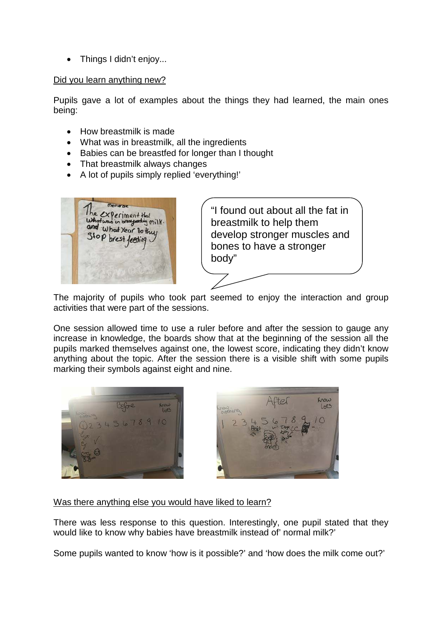• Things I didn't enjoy...

#### Did you learn anything new?

Pupils gave a lot of examples about the things they had learned, the main ones being:

- How breastmilk is made
- What was in breastmilk, all the ingredients
- Babies can be breastfed for longer than I thought
- That breastmilk always changes
- A lot of pupils simply replied 'everything!'



"I found out about all the fat in breastmilk to help them develop stronger muscles and bones to have a stronger body"

The majority of pupils who took part seemed to enjoy the interaction and group activities that were part of the sessions.

One session allowed time to use a ruler before and after the session to gauge any increase in knowledge, the boards show that at the beginning of the session all the pupils marked themselves against one, the lowest score, indicating they didn't know anything about the topic. After the session there is a visible shift with some pupils marking their symbols against eight and nine.





Was there anything else you would have liked to learn?

There was less response to this question. Interestingly, one pupil stated that they would like to know why babies have breastmilk instead of' normal milk?'

Some pupils wanted to know 'how is it possible?' and 'how does the milk come out?'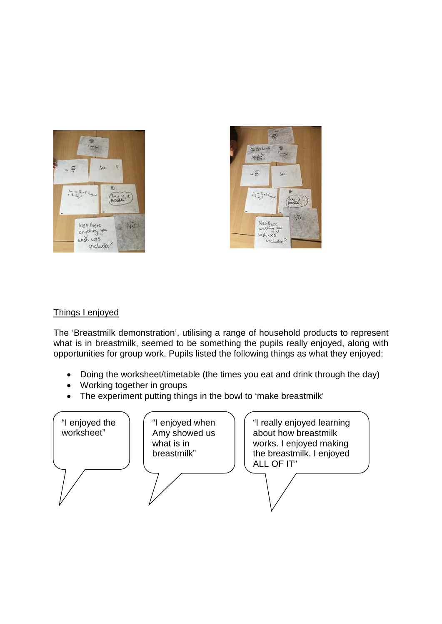



### Things I enjoyed

The 'Breastmilk demonstration', utilising a range of household products to represent what is in breastmilk, seemed to be something the pupils really enjoyed, along with opportunities for group work. Pupils listed the following things as what they enjoyed:

- Doing the worksheet/timetable (the times you eat and drink through the day)
- Working together in groups
- The experiment putting things in the bowl to 'make breastmilk'

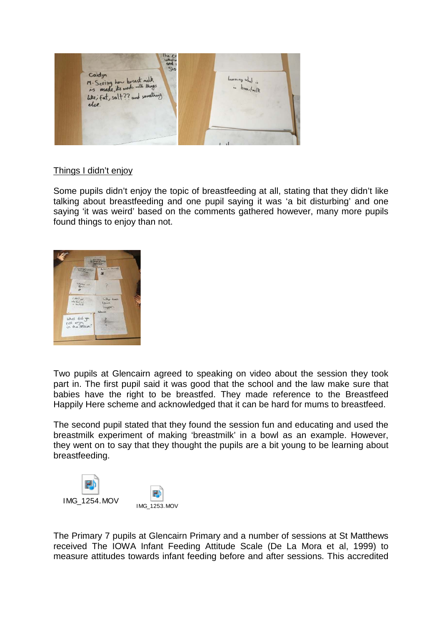

### Things I didn't enjoy

Some pupils didn't enjoy the topic of breastfeeding at all, stating that they didn't like talking about breastfeeding and one pupil saying it was 'a bit disturbing' and one saying 'it was weird' based on the comments gathered however, many more pupils found things to enjoy than not.



Two pupils at Glencairn agreed to speaking on video about the session they took part in. The first pupil said it was good that the school and the law make sure that babies have the right to be breastfed. They made reference to the Breastfeed Happily Here scheme and acknowledged that it can be hard for mums to breastfeed.

The second pupil stated that they found the session fun and educating and used the breastmilk experiment of making 'breastmilk' in a bowl as an example. However, they went on to say that they thought the pupils are a bit young to be learning about breastfeeding.



The Primary 7 pupils at Glencairn Primary and a number of sessions at St Matthews received The IOWA Infant Feeding Attitude Scale (De La Mora et al, 1999) to measure attitudes towards infant feeding before and after sessions. This accredited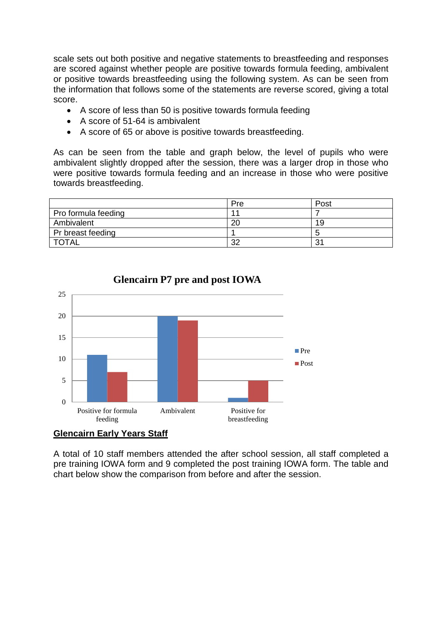scale sets out both positive and negative statements to breastfeeding and responses are scored against whether people are positive towards formula feeding, ambivalent or positive towards breastfeeding using the following system. As can be seen from the information that follows some of the statements are reverse scored, giving a total score.

- A score of less than 50 is positive towards formula feeding
- A score of 51-64 is ambivalent
- A score of 65 or above is positive towards breastfeeding.

As can be seen from the table and graph below, the level of pupils who were ambivalent slightly dropped after the session, there was a larger drop in those who were positive towards formula feeding and an increase in those who were positive towards breastfeeding.

|                     | Pre | Post |
|---------------------|-----|------|
| Pro formula feeding |     |      |
| Ambivalent          | 20  | 19   |
| Pr breast feeding   |     |      |
| <b>TOTAL</b>        | 32  | ?    |



**Glencairn P7 pre and post IOWA** 

### **Glencairn Early Years Staff**

A total of 10 staff members attended the after school session, all staff completed a pre training IOWA form and 9 completed the post training IOWA form. The table and chart below show the comparison from before and after the session.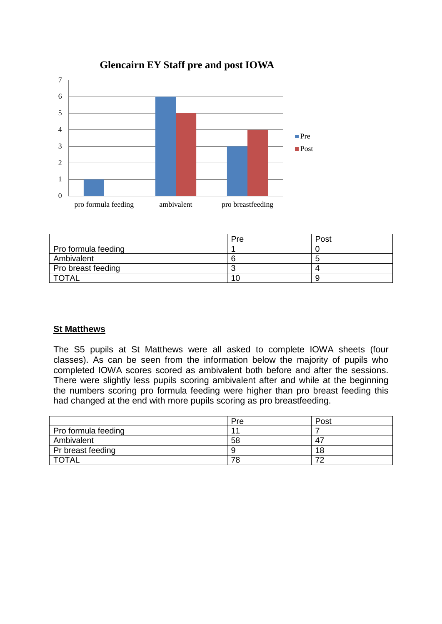

## **Glencairn EY Staff pre and post IOWA**

|                     | Pre | Post |
|---------------------|-----|------|
| Pro formula feeding |     |      |
| Ambivalent          |     | -    |
| Pro breast feeding  |     |      |
| <b>TOTAL</b>        | 1 C |      |

### **St Matthews**

The S5 pupils at St Matthews were all asked to complete IOWA sheets (four classes). As can be seen from the information below the majority of pupils who completed IOWA scores scored as ambivalent both before and after the sessions. There were slightly less pupils scoring ambivalent after and while at the beginning the numbers scoring pro formula feeding were higher than pro breast feeding this had changed at the end with more pupils scoring as pro breastfeeding.

|                     | Pre | Post                     |
|---------------------|-----|--------------------------|
| Pro formula feeding | 4,  |                          |
| Ambivalent          | 58  | -47                      |
| Pr breast feeding   |     | 18                       |
| <b>TOTAL</b>        | 78  | $\overline{\phantom{a}}$ |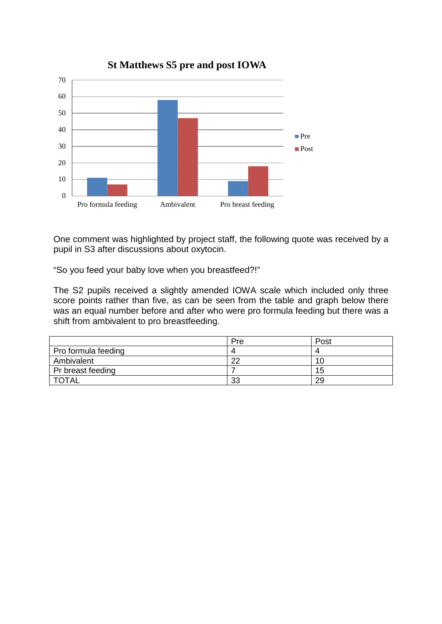

**St Matthews S5 pre and post IOWA**

One comment was highlighted by project staff, the following quote was received by a pupil in S3 after discussions about oxytocin.

"So you feed your baby love when you breastfeed?!"

The S2 pupils received a slightly amended IOWA scale which included only three score points rather than five, as can be seen from the table and graph below there was an equal number before and after who were pro formula feeding but there was a shift from ambivalent to pro breastfeeding.

|                     | Pre | Post |
|---------------------|-----|------|
| Pro formula feeding |     |      |
| Ambivalent          | າດ  | 10   |
| Pr breast feeding   |     | 15   |
| <b>TOTAL</b>        | 33  | 29   |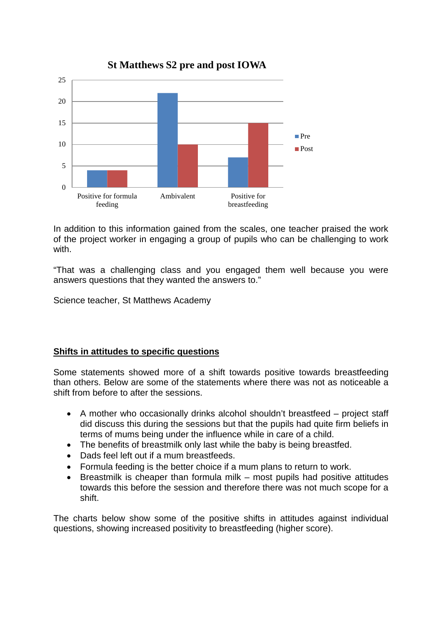

In addition to this information gained from the scales, one teacher praised the work of the project worker in engaging a group of pupils who can be challenging to work with

"That was a challenging class and you engaged them well because you were answers questions that they wanted the answers to."

Science teacher, St Matthews Academy

### **Shifts in attitudes to specific questions**

Some statements showed more of a shift towards positive towards breastfeeding than others. Below are some of the statements where there was not as noticeable a shift from before to after the sessions.

- A mother who occasionally drinks alcohol shouldn't breastfeed project staff did discuss this during the sessions but that the pupils had quite firm beliefs in terms of mums being under the influence while in care of a child.
- The benefits of breastmilk only last while the baby is being breastfed.
- Dads feel left out if a mum breastfeeds.
- Formula feeding is the better choice if a mum plans to return to work.
- Breastmilk is cheaper than formula milk most pupils had positive attitudes towards this before the session and therefore there was not much scope for a shift.

The charts below show some of the positive shifts in attitudes against individual questions, showing increased positivity to breastfeeding (higher score).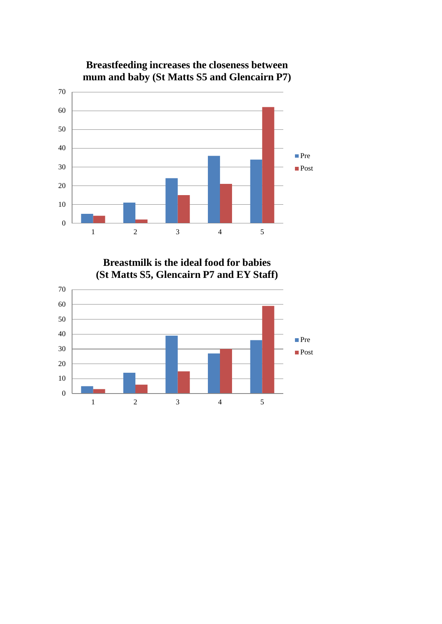

**Breastfeeding increases the closeness between mum and baby (St Matts S5 and Glencairn P7)**

**Breastmilk is the ideal food for babies (St Matts S5, Glencairn P7 and EY Staff)**

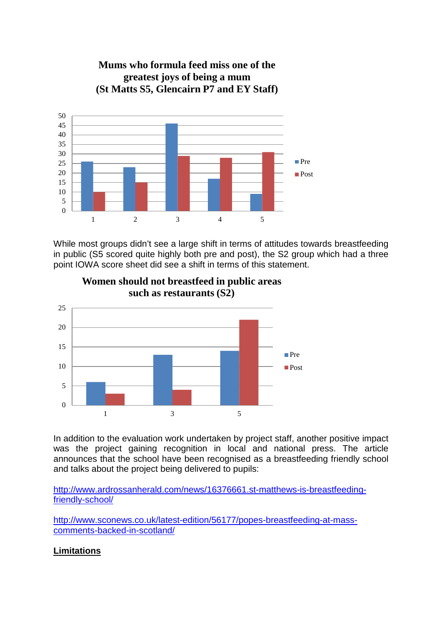

**Mums who formula feed miss one of the greatest joys of being a mum (St Matts S5, Glencairn P7 and EY Staff)**

While most groups didn't see a large shift in terms of attitudes towards breastfeeding in public (S5 scored quite highly both pre and post), the S2 group which had a three point IOWA score sheet did see a shift in terms of this statement.



**Women should not breastfeed in public areas such as restaurants (S2)**

In addition to the evaluation work undertaken by project staff, another positive impact was the project gaining recognition in local and national press. The article announces that the school have been recognised as a breastfeeding friendly school and talks about the project being delivered to pupils:

[http://www.ardrossanherald.com/news/16376661.st-matthews-is-breastfeeding](http://www.ardrossanherald.com/news/16376661.st-matthews-is-breastfeeding-friendly-school/)[friendly-school/](http://www.ardrossanherald.com/news/16376661.st-matthews-is-breastfeeding-friendly-school/) 

[http://www.sconews.co.uk/latest-edition/56177/popes-breastfeeding-at-mass](http://www.sconews.co.uk/latest-edition/56177/popes-breastfeeding-at-mass-comments-backed-in-scotland/)[comments-backed-in-scotland/](http://www.sconews.co.uk/latest-edition/56177/popes-breastfeeding-at-mass-comments-backed-in-scotland/)

### **Limitations**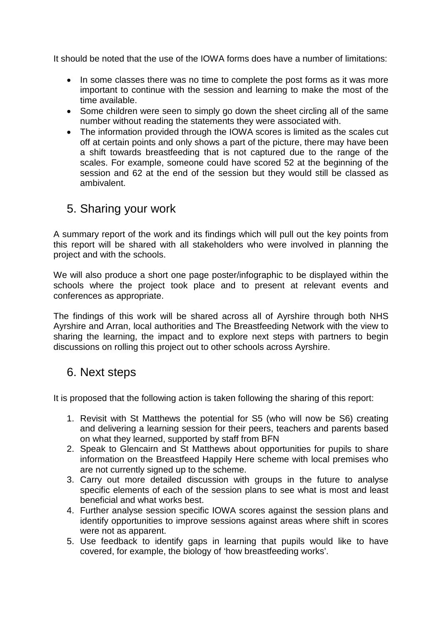It should be noted that the use of the IOWA forms does have a number of limitations:

- In some classes there was no time to complete the post forms as it was more important to continue with the session and learning to make the most of the time available.
- Some children were seen to simply go down the sheet circling all of the same number without reading the statements they were associated with.
- The information provided through the IOWA scores is limited as the scales cut off at certain points and only shows a part of the picture, there may have been a shift towards breastfeeding that is not captured due to the range of the scales. For example, someone could have scored 52 at the beginning of the session and 62 at the end of the session but they would still be classed as ambivalent.

# 5. Sharing your work

A summary report of the work and its findings which will pull out the key points from this report will be shared with all stakeholders who were involved in planning the project and with the schools.

We will also produce a short one page poster/infographic to be displayed within the schools where the project took place and to present at relevant events and conferences as appropriate.

The findings of this work will be shared across all of Ayrshire through both NHS Ayrshire and Arran, local authorities and The Breastfeeding Network with the view to sharing the learning, the impact and to explore next steps with partners to begin discussions on rolling this project out to other schools across Ayrshire.

# 6. Next steps

It is proposed that the following action is taken following the sharing of this report:

- 1. Revisit with St Matthews the potential for S5 (who will now be S6) creating and delivering a learning session for their peers, teachers and parents based on what they learned, supported by staff from BFN
- 2. Speak to Glencairn and St Matthews about opportunities for pupils to share information on the Breastfeed Happily Here scheme with local premises who are not currently signed up to the scheme.
- 3. Carry out more detailed discussion with groups in the future to analyse specific elements of each of the session plans to see what is most and least beneficial and what works best.
- 4. Further analyse session specific IOWA scores against the session plans and identify opportunities to improve sessions against areas where shift in scores were not as apparent.
- 5. Use feedback to identify gaps in learning that pupils would like to have covered, for example, the biology of 'how breastfeeding works'.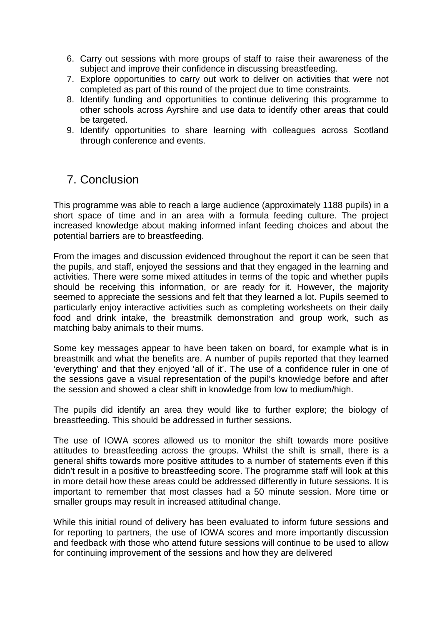- 6. Carry out sessions with more groups of staff to raise their awareness of the subject and improve their confidence in discussing breastfeeding.
- 7. Explore opportunities to carry out work to deliver on activities that were not completed as part of this round of the project due to time constraints.
- 8. Identify funding and opportunities to continue delivering this programme to other schools across Ayrshire and use data to identify other areas that could be targeted.
- 9. Identify opportunities to share learning with colleagues across Scotland through conference and events.

# 7. Conclusion

This programme was able to reach a large audience (approximately 1188 pupils) in a short space of time and in an area with a formula feeding culture. The project increased knowledge about making informed infant feeding choices and about the potential barriers are to breastfeeding.

From the images and discussion evidenced throughout the report it can be seen that the pupils, and staff, enjoyed the sessions and that they engaged in the learning and activities. There were some mixed attitudes in terms of the topic and whether pupils should be receiving this information, or are ready for it. However, the majority seemed to appreciate the sessions and felt that they learned a lot. Pupils seemed to particularly enjoy interactive activities such as completing worksheets on their daily food and drink intake, the breastmilk demonstration and group work, such as matching baby animals to their mums.

Some key messages appear to have been taken on board, for example what is in breastmilk and what the benefits are. A number of pupils reported that they learned 'everything' and that they enjoyed 'all of it'. The use of a confidence ruler in one of the sessions gave a visual representation of the pupil's knowledge before and after the session and showed a clear shift in knowledge from low to medium/high.

The pupils did identify an area they would like to further explore; the biology of breastfeeding. This should be addressed in further sessions.

The use of IOWA scores allowed us to monitor the shift towards more positive attitudes to breastfeeding across the groups. Whilst the shift is small, there is a general shifts towards more positive attitudes to a number of statements even if this didn't result in a positive to breastfeeding score. The programme staff will look at this in more detail how these areas could be addressed differently in future sessions. It is important to remember that most classes had a 50 minute session. More time or smaller groups may result in increased attitudinal change.

While this initial round of delivery has been evaluated to inform future sessions and for reporting to partners, the use of IOWA scores and more importantly discussion and feedback with those who attend future sessions will continue to be used to allow for continuing improvement of the sessions and how they are delivered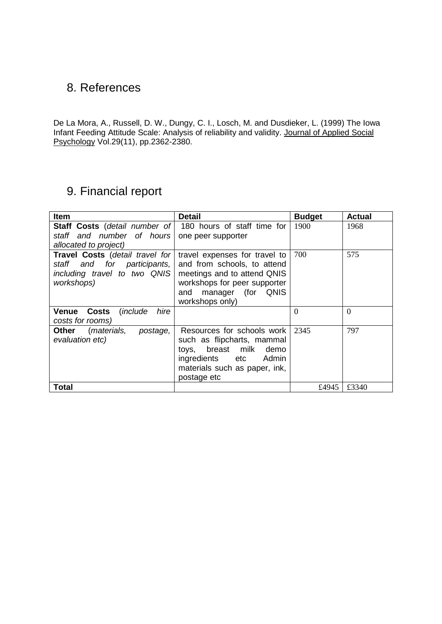# 8. References

De La Mora, A., Russell, D. W., Dungy, C. I., Losch, M. and Dusdieker, L. (1999) The Iowa Infant Feeding Attitude Scale: Analysis of reliability and validity. Journal of Applied Social Psychology Vol.29(11), pp.2362-2380.

# 9. Financial report

| <b>Item</b>                                                                                                                                                                                                                                                                                | <b>Detail</b>                                                                                                                                               | <b>Budget</b> | <b>Actual</b> |
|--------------------------------------------------------------------------------------------------------------------------------------------------------------------------------------------------------------------------------------------------------------------------------------------|-------------------------------------------------------------------------------------------------------------------------------------------------------------|---------------|---------------|
| staff and number of hours<br>allocated to project)                                                                                                                                                                                                                                         | Staff Costs (detail number of 180 hours of staff time for<br>one peer supporter                                                                             |               | 1968          |
| Travel Costs (detail travel for<br>travel expenses for travel to<br>staff and for participants,<br>and from schools, to attend<br>including travel to two QNIS<br>meetings and to attend QNIS<br>workshops for peer supporter<br>workshops)<br>manager (for QNIS<br>and<br>workshops only) |                                                                                                                                                             | 700           | 575           |
| hire<br>Costs<br><i>(include)</i><br>Venue<br>costs for rooms)                                                                                                                                                                                                                             |                                                                                                                                                             | $\theta$      | $\theta$      |
| (materials,<br>Other<br>postage,<br>evaluation etc)                                                                                                                                                                                                                                        | Resources for schools work<br>such as flipcharts, mammal<br>toys, breast milk demo<br>ingredients etc Admin<br>materials such as paper, ink,<br>postage etc | 2345          | 797           |
| <b>Total</b>                                                                                                                                                                                                                                                                               |                                                                                                                                                             | £4945         | £3340         |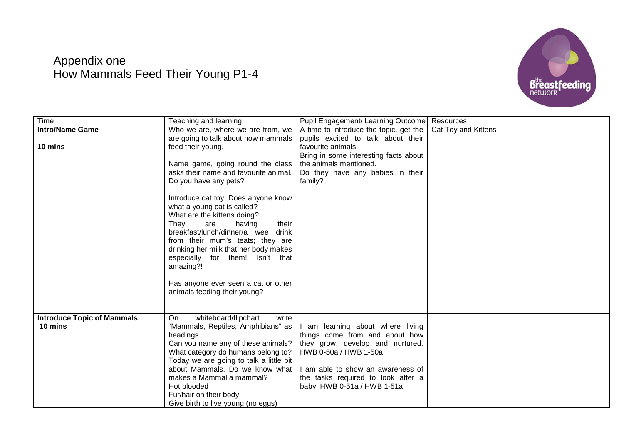# Appendix one How Mammals Feed Their Young P1-4



| Time                              | Teaching and learning                   | Pupil Engagement/ Learning Outcome     | Resources           |
|-----------------------------------|-----------------------------------------|----------------------------------------|---------------------|
| <b>Intro/Name Game</b>            | Who we are, where we are from, we       | A time to introduce the topic, get the | Cat Toy and Kittens |
|                                   | are going to talk about how mammals     | pupils excited to talk about their     |                     |
| 10 mins                           | feed their young.                       | favourite animals.                     |                     |
|                                   |                                         | Bring in some interesting facts about  |                     |
|                                   | Name game, going round the class        | the animals mentioned.                 |                     |
|                                   | asks their name and favourite animal.   | Do they have any babies in their       |                     |
|                                   | Do you have any pets?                   | family?                                |                     |
|                                   | Introduce cat toy. Does anyone know     |                                        |                     |
|                                   | what a young cat is called?             |                                        |                     |
|                                   | What are the kittens doing?             |                                        |                     |
|                                   | having<br>They<br>are<br>their          |                                        |                     |
|                                   | breakfast/lunch/dinner/a wee<br>drink   |                                        |                     |
|                                   | from their mum's teats; they are        |                                        |                     |
|                                   | drinking her milk that her body makes   |                                        |                     |
|                                   | especially for them! Isn't that         |                                        |                     |
|                                   | amazing?!                               |                                        |                     |
|                                   |                                         |                                        |                     |
|                                   | Has anyone ever seen a cat or other     |                                        |                     |
|                                   | animals feeding their young?            |                                        |                     |
|                                   |                                         |                                        |                     |
| <b>Introduce Topic of Mammals</b> | whiteboard/flipchart<br>On<br>write     |                                        |                     |
| 10 mins                           | "Mammals, Reptiles, Amphibians" as      | I am learning about where living       |                     |
|                                   | headings.                               | things come from and about how         |                     |
|                                   | Can you name any of these animals?      | they grow, develop and nurtured.       |                     |
|                                   | What category do humans belong to?      | HWB 0-50a / HWB 1-50a                  |                     |
|                                   | Today we are going to talk a little bit |                                        |                     |
|                                   | about Mammals. Do we know what          | I am able to show an awareness of      |                     |
|                                   | makes a Mammal a mammal?                | the tasks required to look after a     |                     |
|                                   | Hot blooded                             | baby. HWB 0-51a / HWB 1-51a            |                     |
|                                   | Fur/hair on their body                  |                                        |                     |
|                                   | Give birth to live young (no eggs)      |                                        |                     |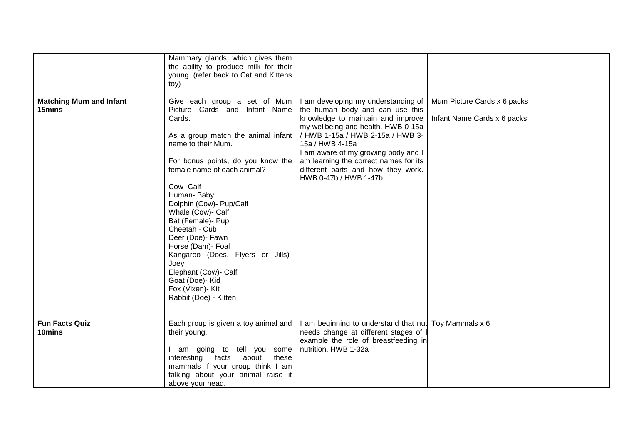|                                          | Mammary glands, which gives them                                               |                                                                              |                             |
|------------------------------------------|--------------------------------------------------------------------------------|------------------------------------------------------------------------------|-----------------------------|
|                                          | the ability to produce milk for their<br>young. (refer back to Cat and Kittens |                                                                              |                             |
|                                          | toy)                                                                           |                                                                              |                             |
|                                          |                                                                                |                                                                              |                             |
| <b>Matching Mum and Infant</b><br>15mins | Give each group a set of Mum<br>Picture Cards and Infant Name                  | I am developing my understanding of<br>the human body and can use this       | Mum Picture Cards x 6 packs |
|                                          | Cards.                                                                         | knowledge to maintain and improve                                            | Infant Name Cards x 6 packs |
|                                          |                                                                                | my wellbeing and health. HWB 0-15a                                           |                             |
|                                          | As a group match the animal infant<br>name to their Mum.                       | / HWB 1-15a / HWB 2-15a / HWB 3-<br>15a / HWB 4-15a                          |                             |
|                                          |                                                                                | I am aware of my growing body and I                                          |                             |
|                                          | For bonus points, do you know the                                              | am learning the correct names for its                                        |                             |
|                                          | female name of each animal?                                                    | different parts and how they work.<br>HWB 0-47b / HWB 1-47b                  |                             |
|                                          | Cow-Calf                                                                       |                                                                              |                             |
|                                          | Human-Baby                                                                     |                                                                              |                             |
|                                          | Dolphin (Cow)- Pup/Calf<br>Whale (Cow)- Calf                                   |                                                                              |                             |
|                                          | Bat (Female)- Pup                                                              |                                                                              |                             |
|                                          | Cheetah - Cub                                                                  |                                                                              |                             |
|                                          | Deer (Doe)- Fawn                                                               |                                                                              |                             |
|                                          | Horse (Dam)- Foal<br>Kangaroo (Does, Flyers or Jills)-                         |                                                                              |                             |
|                                          | Joey                                                                           |                                                                              |                             |
|                                          | Elephant (Cow)- Calf                                                           |                                                                              |                             |
|                                          | Goat (Doe)- Kid                                                                |                                                                              |                             |
|                                          | Fox (Vixen)- Kit<br>Rabbit (Doe) - Kitten                                      |                                                                              |                             |
|                                          |                                                                                |                                                                              |                             |
|                                          |                                                                                |                                                                              |                             |
| <b>Fun Facts Quiz</b><br>10mins          | Each group is given a toy animal and<br>their young.                           | I am beginning to understand that nut<br>needs change at different stages of | Toy Mammals x 6             |
|                                          |                                                                                | example the role of breastfeeding in                                         |                             |
|                                          | I am going to tell you some                                                    | nutrition. HWB 1-32a                                                         |                             |
|                                          | interesting<br>facts about<br>these                                            |                                                                              |                             |
|                                          | mammals if your group think I am<br>talking about your animal raise it         |                                                                              |                             |
|                                          | above your head.                                                               |                                                                              |                             |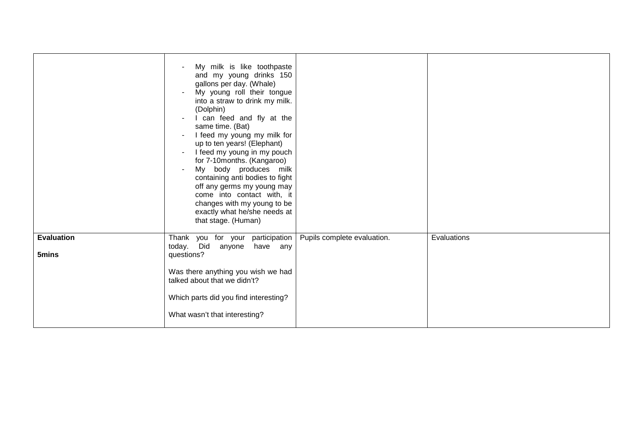|                            | My milk is like toothpaste<br>and my young drinks 150<br>gallons per day. (Whale)<br>My young roll their tongue<br>into a straw to drink my milk.<br>(Dolphin)<br>I can feed and fly at the<br>$\sim$<br>same time. (Bat)<br>I feed my young my milk for<br>$\blacksquare$<br>up to ten years! (Elephant)<br>I feed my young in my pouch<br>$\blacksquare$<br>for 7-10months. (Kangaroo)<br>My body produces milk<br>$\blacksquare$<br>containing anti bodies to fight<br>off any germs my young may<br>come into contact with, it<br>changes with my young to be<br>exactly what he/she needs at<br>that stage. (Human) |                             |             |
|----------------------------|--------------------------------------------------------------------------------------------------------------------------------------------------------------------------------------------------------------------------------------------------------------------------------------------------------------------------------------------------------------------------------------------------------------------------------------------------------------------------------------------------------------------------------------------------------------------------------------------------------------------------|-----------------------------|-------------|
| <b>Evaluation</b><br>5mins | Thank you for your participation<br>today. Did<br>anyone<br>have any<br>questions?<br>Was there anything you wish we had<br>talked about that we didn't?<br>Which parts did you find interesting?<br>What wasn't that interesting?                                                                                                                                                                                                                                                                                                                                                                                       | Pupils complete evaluation. | Evaluations |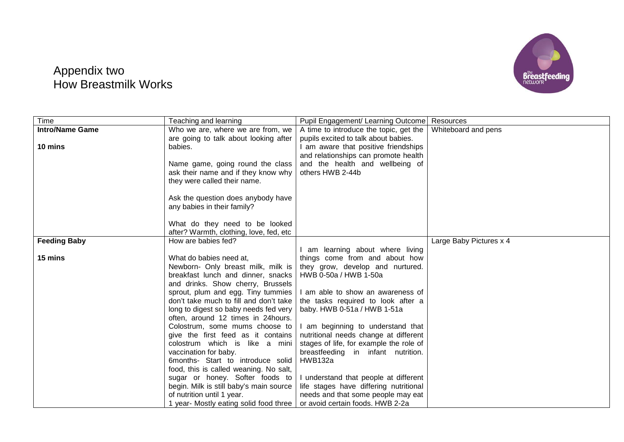

# Appendix two How Breastmilk Works

| Time                   | Teaching and learning                                                       | Pupil Engagement/ Learning Outcome      | Resources               |
|------------------------|-----------------------------------------------------------------------------|-----------------------------------------|-------------------------|
| <b>Intro/Name Game</b> | Who we are, where we are from, we                                           | A time to introduce the topic, get the  | Whiteboard and pens     |
|                        | are going to talk about looking after                                       | pupils excited to talk about babies.    |                         |
| 10 mins                | babies.                                                                     | I am aware that positive friendships    |                         |
|                        |                                                                             | and relationships can promote health    |                         |
|                        | Name game, going round the class                                            | and the health and wellbeing of         |                         |
|                        | ask their name and if they know why                                         | others HWB 2-44b                        |                         |
|                        | they were called their name.                                                |                                         |                         |
|                        |                                                                             |                                         |                         |
|                        | Ask the question does anybody have                                          |                                         |                         |
|                        | any babies in their family?                                                 |                                         |                         |
|                        |                                                                             |                                         |                         |
|                        | What do they need to be looked                                              |                                         |                         |
|                        | after? Warmth, clothing, love, fed, etc                                     |                                         |                         |
| <b>Feeding Baby</b>    | How are babies fed?                                                         |                                         | Large Baby Pictures x 4 |
|                        |                                                                             | am learning about where living          |                         |
| 15 mins                | What do babies need at,                                                     | things come from and about how          |                         |
|                        | Newborn- Only breast milk, milk is                                          | they grow, develop and nurtured.        |                         |
|                        | breakfast lunch and dinner, snacks                                          | HWB 0-50a / HWB 1-50a                   |                         |
|                        | and drinks. Show cherry, Brussels                                           |                                         |                         |
|                        | sprout, plum and egg. Tiny tummies                                          | I am able to show an awareness of       |                         |
|                        | don't take much to fill and don't take                                      | the tasks required to look after a      |                         |
|                        | long to digest so baby needs fed very<br>often, around 12 times in 24hours. | baby. HWB 0-51a / HWB 1-51a             |                         |
|                        | Colostrum, some mums choose to                                              | I am beginning to understand that       |                         |
|                        | give the first feed as it contains                                          | nutritional needs change at different   |                         |
|                        | colostrum which is like a mini                                              | stages of life, for example the role of |                         |
|                        | vaccination for baby.                                                       | breastfeeding in infant nutrition.      |                         |
|                        | 6months- Start to introduce solid                                           | <b>HWB132a</b>                          |                         |
|                        | food, this is called weaning. No salt,                                      |                                         |                         |
|                        | sugar or honey. Softer foods to                                             | I understand that people at different   |                         |
|                        | begin. Milk is still baby's main source                                     | life stages have differing nutritional  |                         |
|                        | of nutrition until 1 year.                                                  | needs and that some people may eat      |                         |
|                        | 1 year- Mostly eating solid food three                                      | or avoid certain foods. HWB 2-2a        |                         |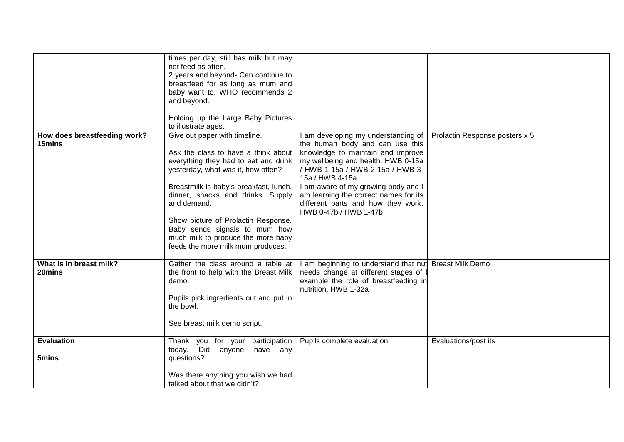|                                        | times per day, still has milk but may<br>not feed as often.<br>2 years and beyond- Can continue to<br>breastfeed for as long as mum and<br>baby want to. WHO recommends 2<br>and beyond.<br>Holding up the Large Baby Pictures<br>to illustrate ages.                                                                                                                                               |                                                                                                                                                                                                                                                                                                                                                         |                                |
|----------------------------------------|-----------------------------------------------------------------------------------------------------------------------------------------------------------------------------------------------------------------------------------------------------------------------------------------------------------------------------------------------------------------------------------------------------|---------------------------------------------------------------------------------------------------------------------------------------------------------------------------------------------------------------------------------------------------------------------------------------------------------------------------------------------------------|--------------------------------|
| How does breastfeeding work?<br>15mins | Give out paper with timeline.<br>Ask the class to have a think about<br>everything they had to eat and drink<br>yesterday, what was it, how often?<br>Breastmilk is baby's breakfast, lunch,<br>dinner, snacks and drinks. Supply<br>and demand.<br>Show picture of Prolactin Response.<br>Baby sends signals to mum how<br>much milk to produce the more baby<br>feeds the more milk mum produces. | I am developing my understanding of<br>the human body and can use this<br>knowledge to maintain and improve<br>my wellbeing and health. HWB 0-15a<br>/ HWB 1-15a / HWB 2-15a / HWB 3-<br>15a / HWB 4-15a<br>I am aware of my growing body and I<br>am learning the correct names for its<br>different parts and how they work.<br>HWB 0-47b / HWB 1-47b | Prolactin Response posters x 5 |
| What is in breast milk?<br>20mins      | Gather the class around a table at<br>the front to help with the Breast Milk<br>demo.<br>Pupils pick ingredients out and put in<br>the bowl.<br>See breast milk demo script.                                                                                                                                                                                                                        | I am beginning to understand that nut Breast Milk Demo<br>needs change at different stages of<br>example the role of breastfeeding in<br>nutrition. HWB 1-32a                                                                                                                                                                                           |                                |
| <b>Evaluation</b><br>5mins             | Thank you for your participation<br>today. Did<br>anyone<br>have any<br>questions?<br>Was there anything you wish we had<br>talked about that we didn't?                                                                                                                                                                                                                                            | Pupils complete evaluation.                                                                                                                                                                                                                                                                                                                             | Evaluations/post its           |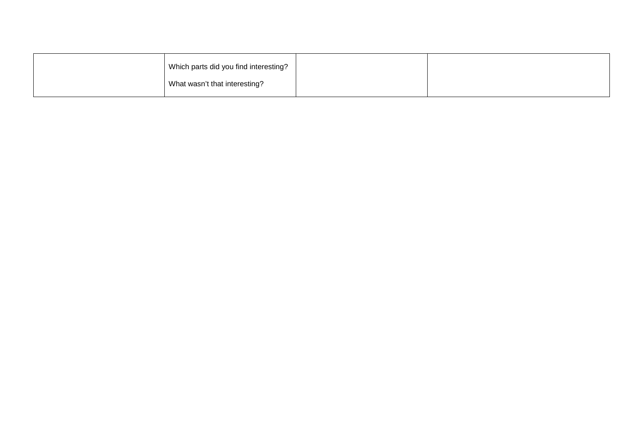| Which parts did you find interesting? |  |
|---------------------------------------|--|
| What wasn't that interesting?         |  |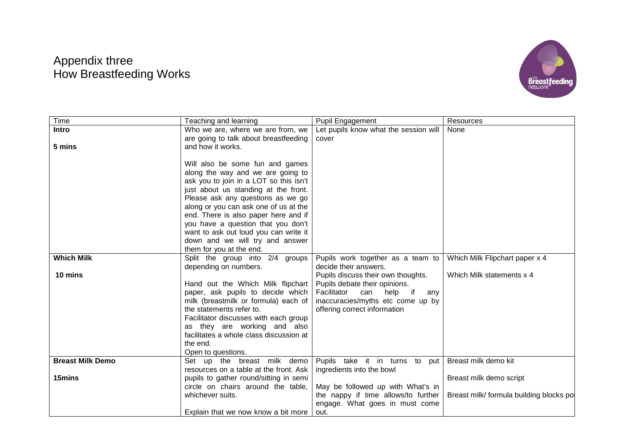# Appendix three How Breastfeeding Works



| Time                    | Teaching and learning                                                     | Pupil Engagement                                                              | Resources                               |
|-------------------------|---------------------------------------------------------------------------|-------------------------------------------------------------------------------|-----------------------------------------|
| Intro                   | Who we are, where we are from, we                                         | Let pupils know what the session will                                         | None                                    |
|                         | are going to talk about breastfeeding                                     | cover                                                                         |                                         |
| 5 mins                  | and how it works.                                                         |                                                                               |                                         |
|                         |                                                                           |                                                                               |                                         |
|                         | Will also be some fun and games                                           |                                                                               |                                         |
|                         | along the way and we are going to                                         |                                                                               |                                         |
|                         | ask you to join in a LOT so this isn't                                    |                                                                               |                                         |
|                         | just about us standing at the front.                                      |                                                                               |                                         |
|                         | Please ask any questions as we go                                         |                                                                               |                                         |
|                         | along or you can ask one of us at the                                     |                                                                               |                                         |
|                         | end. There is also paper here and if                                      |                                                                               |                                         |
|                         | you have a question that you don't                                        |                                                                               |                                         |
|                         | want to ask out loud you can write it                                     |                                                                               |                                         |
|                         | down and we will try and answer                                           |                                                                               |                                         |
|                         | them for you at the end.                                                  |                                                                               |                                         |
| <b>Which Milk</b>       | Split the group into 2/4 groups                                           | Pupils work together as a team to                                             | Which Milk Flipchart paper x 4          |
|                         | depending on numbers.                                                     | decide their answers.                                                         |                                         |
| 10 mins                 |                                                                           | Pupils discuss their own thoughts.                                            | Which Milk statements x 4               |
|                         | Hand out the Which Milk flipchart                                         | Pupils debate their opinions.                                                 |                                         |
|                         | paper, ask pupils to decide which<br>milk (breastmilk or formula) each of | Facilitator<br>help<br>can<br>if.<br>any<br>inaccuracies/myths etc come up by |                                         |
|                         | the statements refer to.                                                  | offering correct information                                                  |                                         |
|                         | Facilitator discusses with each group                                     |                                                                               |                                         |
|                         | as they are working and also                                              |                                                                               |                                         |
|                         | facilitates a whole class discussion at                                   |                                                                               |                                         |
|                         | the end.                                                                  |                                                                               |                                         |
|                         | Open to questions.                                                        |                                                                               |                                         |
| <b>Breast Milk Demo</b> | Set up the breast milk demo                                               | Pupils take it in turns to<br>put                                             | Breast milk demo kit                    |
|                         | resources on a table at the front. Ask                                    | ingredients into the bowl                                                     |                                         |
| 15mins                  | pupils to gather round/sitting in semi                                    |                                                                               | Breast milk demo script                 |
|                         | circle on chairs around the table,                                        | May be followed up with What's in                                             |                                         |
|                         | whichever suits.                                                          | the nappy if time allows/to further                                           | Breast milk/ formula building blocks po |
|                         |                                                                           | engage. What goes in must come                                                |                                         |
|                         | Explain that we now know a bit more                                       | out.                                                                          |                                         |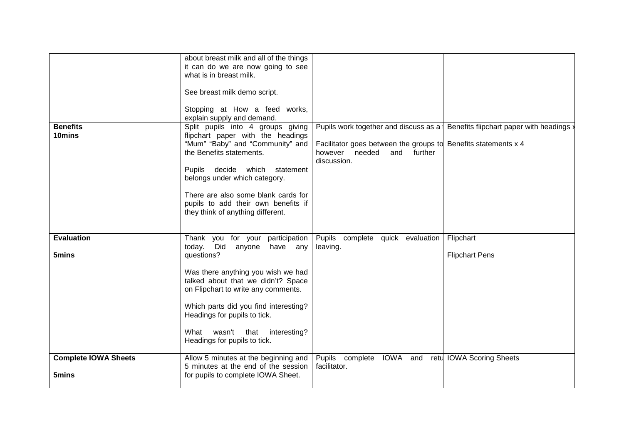|                             | about breast milk and all of the things                                   |                                                                |                                          |
|-----------------------------|---------------------------------------------------------------------------|----------------------------------------------------------------|------------------------------------------|
|                             | it can do we are now going to see                                         |                                                                |                                          |
|                             | what is in breast milk.                                                   |                                                                |                                          |
|                             |                                                                           |                                                                |                                          |
|                             | See breast milk demo script.                                              |                                                                |                                          |
|                             | Stopping at How a feed works,                                             |                                                                |                                          |
|                             | explain supply and demand.                                                |                                                                |                                          |
| <b>Benefits</b>             | Split pupils into 4 groups giving                                         | Pupils work together and discuss as a                          | Benefits flipchart paper with headings : |
| 10mins                      | flipchart paper with the headings                                         |                                                                |                                          |
|                             | "Mum" "Baby" and "Community" and                                          | Facilitator goes between the groups to Benefits statements x 4 |                                          |
|                             | the Benefits statements.                                                  | however<br>needed<br>and<br>further                            |                                          |
|                             |                                                                           | discussion.                                                    |                                          |
|                             | Pupils decide which<br>statement                                          |                                                                |                                          |
|                             | belongs under which category.                                             |                                                                |                                          |
|                             |                                                                           |                                                                |                                          |
|                             | There are also some blank cards for                                       |                                                                |                                          |
|                             | pupils to add their own benefits if                                       |                                                                |                                          |
|                             | they think of anything different.                                         |                                                                |                                          |
|                             |                                                                           |                                                                |                                          |
| <b>Evaluation</b>           | Thank you for your participation                                          | Pupils complete quick evaluation                               | Flipchart                                |
|                             | today. Did<br>anyone<br>have any                                          | leaving.                                                       |                                          |
| 5mins                       | questions?                                                                |                                                                | <b>Flipchart Pens</b>                    |
|                             |                                                                           |                                                                |                                          |
|                             | Was there anything you wish we had                                        |                                                                |                                          |
|                             | talked about that we didn't? Space                                        |                                                                |                                          |
|                             | on Flipchart to write any comments.                                       |                                                                |                                          |
|                             | Which parts did you find interesting?                                     |                                                                |                                          |
|                             | Headings for pupils to tick.                                              |                                                                |                                          |
|                             |                                                                           |                                                                |                                          |
|                             | wasn't that<br>interesting?<br>What                                       |                                                                |                                          |
|                             | Headings for pupils to tick.                                              |                                                                |                                          |
|                             |                                                                           |                                                                |                                          |
| <b>Complete IOWA Sheets</b> | Allow 5 minutes at the beginning and                                      | Pupils<br>complete IOWA and                                    | retu IOWA Scoring Sheets                 |
|                             | 5 minutes at the end of the session<br>for pupils to complete IOWA Sheet. | facilitator.                                                   |                                          |
| 5mins                       |                                                                           |                                                                |                                          |
|                             |                                                                           |                                                                |                                          |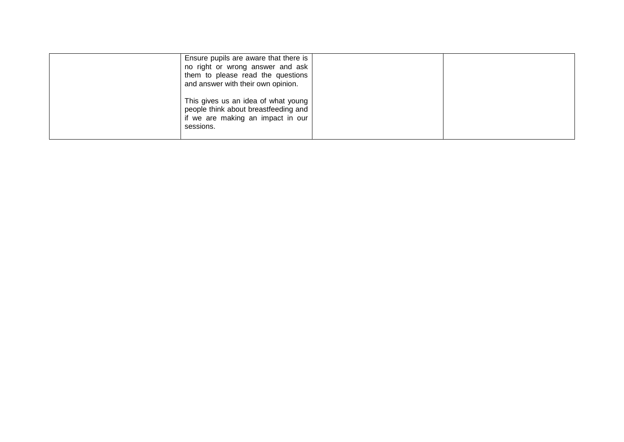| Ensure pupils are aware that there is<br>no right or wrong answer and ask<br>them to please read the questions<br>and answer with their own opinion. |  |
|------------------------------------------------------------------------------------------------------------------------------------------------------|--|
| This gives us an idea of what young<br>people think about breastfeeding and<br>if we are making an impact in our<br>sessions.                        |  |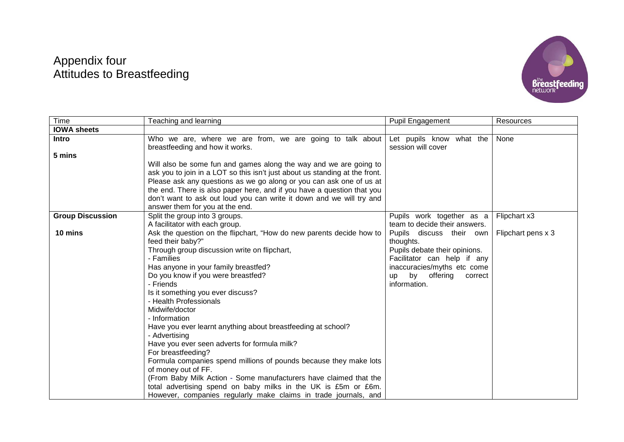# Appendix four Attitudes to Breastfeeding



| Time                    | Teaching and learning                                                       | <b>Pupil Engagement</b>                | Resources          |
|-------------------------|-----------------------------------------------------------------------------|----------------------------------------|--------------------|
| <b>IOWA sheets</b>      |                                                                             |                                        |                    |
| <b>Intro</b>            | Who we are, where we are from, we are going to talk about                   | Let pupils know what the               | None               |
|                         | breastfeeding and how it works.                                             | session will cover                     |                    |
| 5 mins                  |                                                                             |                                        |                    |
|                         | Will also be some fun and games along the way and we are going to           |                                        |                    |
|                         | ask you to join in a LOT so this isn't just about us standing at the front. |                                        |                    |
|                         | Please ask any questions as we go along or you can ask one of us at         |                                        |                    |
|                         | the end. There is also paper here, and if you have a question that you      |                                        |                    |
|                         | don't want to ask out loud you can write it down and we will try and        |                                        |                    |
|                         | answer them for you at the end.                                             |                                        |                    |
| <b>Group Discussion</b> | Split the group into 3 groups.                                              | Pupils work together as a              | Flipchart x3       |
|                         | A facilitator with each group.                                              | team to decide their answers.          |                    |
| 10 mins                 | Ask the question on the flipchart, "How do new parents decide how to        | Pupils discuss their own               | Flipchart pens x 3 |
|                         | feed their baby?"                                                           | thoughts.                              |                    |
|                         | Through group discussion write on flipchart,                                | Pupils debate their opinions.          |                    |
|                         | - Families                                                                  | Facilitator can help if any            |                    |
|                         | Has anyone in your family breastfed?                                        | inaccuracies/myths etc come            |                    |
|                         | Do you know if you were breastfed?                                          | by<br>offering<br>correct<br><b>up</b> |                    |
|                         | - Friends                                                                   | information.                           |                    |
|                         | Is it something you ever discuss?                                           |                                        |                    |
|                         | - Health Professionals<br>Midwife/doctor                                    |                                        |                    |
|                         | - Information                                                               |                                        |                    |
|                         | Have you ever learnt anything about breastfeeding at school?                |                                        |                    |
|                         | - Advertising                                                               |                                        |                    |
|                         | Have you ever seen adverts for formula milk?                                |                                        |                    |
|                         | For breastfeeding?                                                          |                                        |                    |
|                         | Formula companies spend millions of pounds because they make lots           |                                        |                    |
|                         | of money out of FF.                                                         |                                        |                    |
|                         | (From Baby Milk Action - Some manufacturers have claimed that the           |                                        |                    |
|                         | total advertising spend on baby milks in the UK is £5m or £6m.              |                                        |                    |
|                         | However, companies regularly make claims in trade journals, and             |                                        |                    |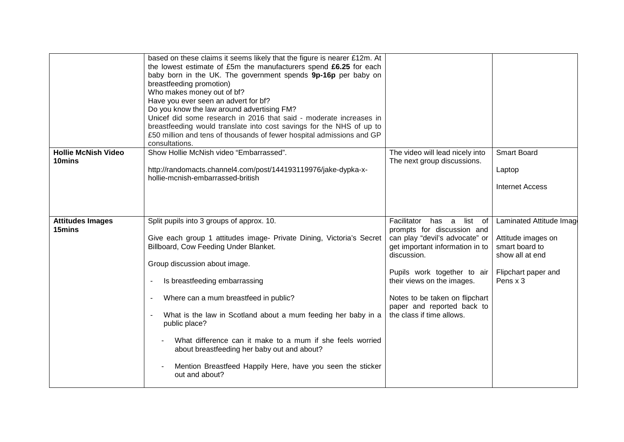|                                      | based on these claims it seems likely that the figure is nearer £12m. At<br>the lowest estimate of £5m the manufacturers spend £6.25 for each<br>baby born in the UK. The government spends 9p-16p per baby on<br>breastfeeding promotion)<br>Who makes money out of bf?<br>Have you ever seen an advert for bf?<br>Do you know the law around advertising FM?<br>Unicef did some research in 2016 that said - moderate increases in<br>breastfeeding would translate into cost savings for the NHS of up to<br>£50 million and tens of thousands of fewer hospital admissions and GP<br>consultations.   |                                                                                                                                                                                                                                                                                                             |                                                                                                                          |
|--------------------------------------|-----------------------------------------------------------------------------------------------------------------------------------------------------------------------------------------------------------------------------------------------------------------------------------------------------------------------------------------------------------------------------------------------------------------------------------------------------------------------------------------------------------------------------------------------------------------------------------------------------------|-------------------------------------------------------------------------------------------------------------------------------------------------------------------------------------------------------------------------------------------------------------------------------------------------------------|--------------------------------------------------------------------------------------------------------------------------|
| <b>Hollie McNish Video</b><br>10mins | Show Hollie McNish video "Embarrassed".<br>http://randomacts.channel4.com/post/144193119976/jake-dypka-x-<br>hollie-mcnish-embarrassed-british                                                                                                                                                                                                                                                                                                                                                                                                                                                            | The video will lead nicely into<br>The next group discussions.                                                                                                                                                                                                                                              | <b>Smart Board</b><br>Laptop<br><b>Internet Access</b>                                                                   |
| <b>Attitudes Images</b><br>15mins    | Split pupils into 3 groups of approx. 10.<br>Give each group 1 attitudes image- Private Dining, Victoria's Secret<br>Billboard, Cow Feeding Under Blanket.<br>Group discussion about image.<br>Is breastfeeding embarrassing<br>$\blacksquare$<br>Where can a mum breastfeed in public?<br>$\blacksquare$<br>What is the law in Scotland about a mum feeding her baby in a<br>$\blacksquare$<br>public place?<br>What difference can it make to a mum if she feels worried<br>about breastfeeding her baby out and about?<br>Mention Breastfeed Happily Here, have you seen the sticker<br>out and about? | Facilitator<br>list of<br>has a<br>prompts for discussion and<br>can play "devil's advocate" or<br>get important information in to<br>discussion.<br>Pupils work together to air<br>their views on the images.<br>Notes to be taken on flipchart<br>paper and reported back to<br>the class if time allows. | Laminated Attitude Image<br>Attitude images on<br>smart board to<br>show all at end<br>Flipchart paper and<br>Pens $x$ 3 |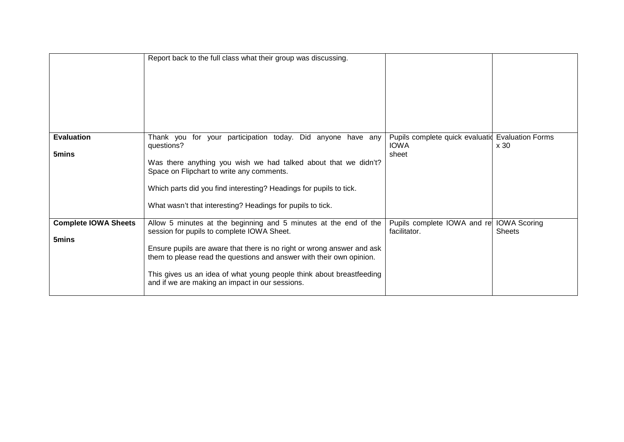|                                      | Report back to the full class what their group was discussing.                                                                                                                                                                                                                                                                                                                              |                                                                          |                                      |
|--------------------------------------|---------------------------------------------------------------------------------------------------------------------------------------------------------------------------------------------------------------------------------------------------------------------------------------------------------------------------------------------------------------------------------------------|--------------------------------------------------------------------------|--------------------------------------|
| <b>Evaluation</b><br>5mins           | Thank you for your participation today. Did anyone have any<br>questions?<br>Was there anything you wish we had talked about that we didn't?<br>Space on Flipchart to write any comments.<br>Which parts did you find interesting? Headings for pupils to tick.<br>What wasn't that interesting? Headings for pupils to tick.                                                               | Pupils complete quick evaluatid Evaluation Forms<br><b>IOWA</b><br>sheet | x30                                  |
| <b>Complete IOWA Sheets</b><br>5mins | Allow 5 minutes at the beginning and 5 minutes at the end of the<br>session for pupils to complete IOWA Sheet.<br>Ensure pupils are aware that there is no right or wrong answer and ask<br>them to please read the questions and answer with their own opinion.<br>This gives us an idea of what young people think about breastfeeding<br>and if we are making an impact in our sessions. | Pupils complete IOWA and re<br>facilitator.                              | <b>IOWA Scoring</b><br><b>Sheets</b> |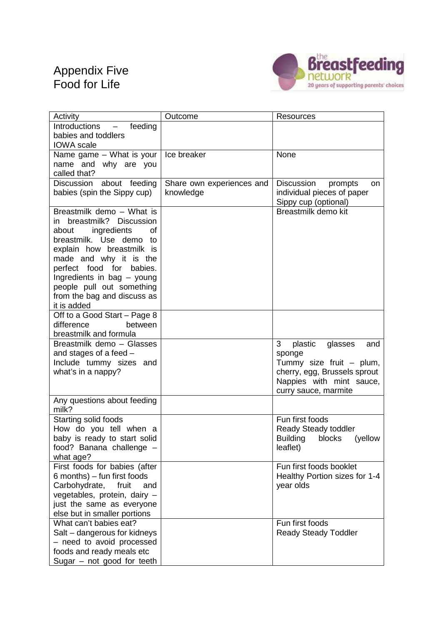# Appendix Five Food for Life



| Activity                                                       | Outcome                   | Resources                                                |
|----------------------------------------------------------------|---------------------------|----------------------------------------------------------|
| feeding<br>Introductions                                       |                           |                                                          |
| babies and toddlers                                            |                           |                                                          |
| <b>IOWA</b> scale                                              | Ice breaker               | None                                                     |
| Name game - What is your<br>name and why are you               |                           |                                                          |
| called that?                                                   |                           |                                                          |
| Discussion about feeding                                       | Share own experiences and | Discussion<br>prompts<br>on                              |
| babies (spin the Sippy cup)                                    | knowledge                 | individual pieces of paper                               |
|                                                                |                           | Sippy cup (optional)                                     |
| Breastmilk demo - What is                                      |                           | Breastmilk demo kit                                      |
| breastmilk? Discussion<br>in                                   |                           |                                                          |
| ingredients<br>about<br>οf<br>breastmilk. Use demo to          |                           |                                                          |
| explain how breastmilk is                                      |                           |                                                          |
| made and why it is the                                         |                           |                                                          |
| perfect food for<br>babies.                                    |                           |                                                          |
| Ingredients in bag - young                                     |                           |                                                          |
| people pull out something                                      |                           |                                                          |
| from the bag and discuss as                                    |                           |                                                          |
| it is added                                                    |                           |                                                          |
| Off to a Good Start - Page 8<br>difference<br>between          |                           |                                                          |
| breastmilk and formula                                         |                           |                                                          |
| Breastmilk demo - Glasses                                      |                           | 3<br>plastic<br>glasses<br>and                           |
| and stages of a feed -                                         |                           | sponge                                                   |
| Include tummy sizes and                                        |                           | Tummy size fruit - plum,                                 |
| what's in a nappy?                                             |                           | cherry, egg, Brussels sprout                             |
|                                                                |                           | Nappies with mint sauce,                                 |
| Any questions about feeding                                    |                           | curry sauce, marmite                                     |
| milk?                                                          |                           |                                                          |
| Starting solid foods                                           |                           | Fun first foods                                          |
| How do you tell when a                                         |                           | Ready Steady toddler                                     |
| baby is ready to start solid                                   |                           | Building<br>(yellow<br>blocks                            |
| food? Banana challenge -                                       |                           | leaflet)                                                 |
| what age?                                                      |                           |                                                          |
| First foods for babies (after                                  |                           | Fun first foods booklet<br>Healthy Portion sizes for 1-4 |
| $6$ months) – fun first foods<br>Carbohydrate,<br>fruit<br>and |                           | year olds                                                |
| vegetables, protein, dairy -                                   |                           |                                                          |
| just the same as everyone                                      |                           |                                                          |
| else but in smaller portions                                   |                           |                                                          |
| What can't babies eat?                                         |                           | Fun first foods                                          |
| Salt - dangerous for kidneys                                   |                           | <b>Ready Steady Toddler</b>                              |
| - need to avoid processed                                      |                           |                                                          |
| foods and ready meals etc                                      |                           |                                                          |
| Sugar $-$ not good for teeth                                   |                           |                                                          |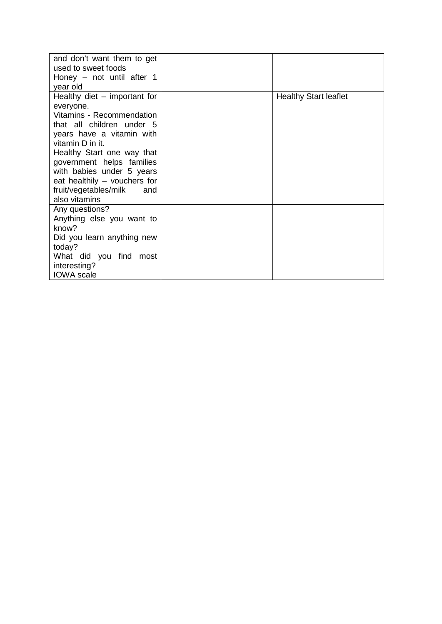| and don't want them to get<br>used to sweet foods<br>Honey $-$ not until after 1<br>year old                                                                                                                                                                                                                                    |                              |
|---------------------------------------------------------------------------------------------------------------------------------------------------------------------------------------------------------------------------------------------------------------------------------------------------------------------------------|------------------------------|
| Healthy diet $-$ important for<br>everyone.<br>Vitamins - Recommendation<br>that all children under 5<br>years have a vitamin with<br>vitamin D in it.<br>Healthy Start one way that<br>government helps families<br>with babies under 5 years<br>eat healthily – vouchers for<br>fruit/vegetables/milk<br>and<br>also vitamins | <b>Healthy Start leaflet</b> |
| Any questions?<br>Anything else you want to<br>know?<br>Did you learn anything new<br>today?<br>What did you find most<br>interesting?<br><b>IOWA</b> scale                                                                                                                                                                     |                              |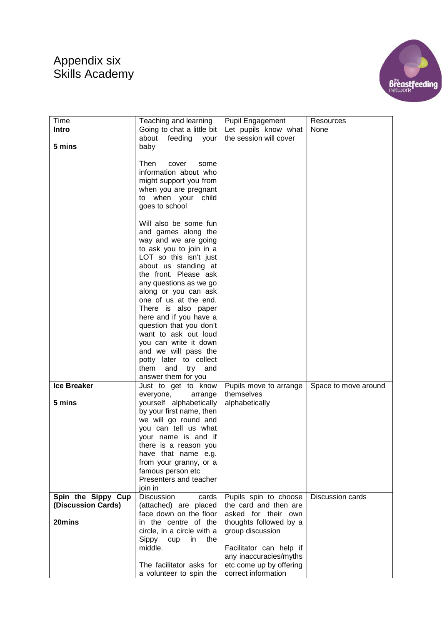# Appendix six Skills Academy



| Time<br>Teaching and learning<br><b>Pupil Engagement</b><br>Resources<br>Going to chat a little bit<br>Let pupils know what<br><b>Intro</b><br>None<br>the session will cover<br>about<br>feeding your<br>baby<br>5 mins<br>Then<br>cover<br>some<br>information about who<br>might support you from<br>when you are pregnant<br>to when your child<br>goes to school |
|-----------------------------------------------------------------------------------------------------------------------------------------------------------------------------------------------------------------------------------------------------------------------------------------------------------------------------------------------------------------------|
|                                                                                                                                                                                                                                                                                                                                                                       |
|                                                                                                                                                                                                                                                                                                                                                                       |
|                                                                                                                                                                                                                                                                                                                                                                       |
|                                                                                                                                                                                                                                                                                                                                                                       |
|                                                                                                                                                                                                                                                                                                                                                                       |
|                                                                                                                                                                                                                                                                                                                                                                       |
|                                                                                                                                                                                                                                                                                                                                                                       |
|                                                                                                                                                                                                                                                                                                                                                                       |
|                                                                                                                                                                                                                                                                                                                                                                       |
|                                                                                                                                                                                                                                                                                                                                                                       |
|                                                                                                                                                                                                                                                                                                                                                                       |
| Will also be some fun                                                                                                                                                                                                                                                                                                                                                 |
| and games along the                                                                                                                                                                                                                                                                                                                                                   |
| way and we are going                                                                                                                                                                                                                                                                                                                                                  |
| to ask you to join in a                                                                                                                                                                                                                                                                                                                                               |
| LOT so this isn't just                                                                                                                                                                                                                                                                                                                                                |
| about us standing at                                                                                                                                                                                                                                                                                                                                                  |
| the front. Please ask                                                                                                                                                                                                                                                                                                                                                 |
| any questions as we go                                                                                                                                                                                                                                                                                                                                                |
| along or you can ask<br>one of us at the end.                                                                                                                                                                                                                                                                                                                         |
| There is also paper                                                                                                                                                                                                                                                                                                                                                   |
| here and if you have a                                                                                                                                                                                                                                                                                                                                                |
| question that you don't                                                                                                                                                                                                                                                                                                                                               |
| want to ask out loud                                                                                                                                                                                                                                                                                                                                                  |
| you can write it down                                                                                                                                                                                                                                                                                                                                                 |
| and we will pass the                                                                                                                                                                                                                                                                                                                                                  |
| potty later to collect                                                                                                                                                                                                                                                                                                                                                |
| them<br>and<br>try<br>and                                                                                                                                                                                                                                                                                                                                             |
| answer them for you                                                                                                                                                                                                                                                                                                                                                   |
| <b>Ice Breaker</b><br>Just to get to know<br>Pupils move to arrange<br>Space to move around                                                                                                                                                                                                                                                                           |
| themselves<br>everyone,<br>arrange                                                                                                                                                                                                                                                                                                                                    |
| 5 mins<br>yourself alphabetically<br>alphabetically                                                                                                                                                                                                                                                                                                                   |
| by your first name, then                                                                                                                                                                                                                                                                                                                                              |
| we will go round and                                                                                                                                                                                                                                                                                                                                                  |
| you can tell us what                                                                                                                                                                                                                                                                                                                                                  |
| your name is and if                                                                                                                                                                                                                                                                                                                                                   |
| there is a reason you                                                                                                                                                                                                                                                                                                                                                 |
| have that name e.g.<br>from your granny, or a                                                                                                                                                                                                                                                                                                                         |
| famous person etc                                                                                                                                                                                                                                                                                                                                                     |
| Presenters and teacher                                                                                                                                                                                                                                                                                                                                                |
| join in                                                                                                                                                                                                                                                                                                                                                               |
| Spin the Sippy Cup<br><b>Discussion</b><br>Discussion cards<br>cards<br>Pupils spin to choose                                                                                                                                                                                                                                                                         |
| (Discussion Cards)<br>(attached) are placed<br>the card and then are                                                                                                                                                                                                                                                                                                  |
| face down on the floor<br>asked for their own                                                                                                                                                                                                                                                                                                                         |
| 20mins<br>in the centre of the<br>thoughts followed by a                                                                                                                                                                                                                                                                                                              |
| group discussion<br>circle, in a circle with a                                                                                                                                                                                                                                                                                                                        |
| Sippy<br>cup<br>the<br>in.                                                                                                                                                                                                                                                                                                                                            |
| middle.<br>Facilitator can help if                                                                                                                                                                                                                                                                                                                                    |
| any inaccuracies/myths                                                                                                                                                                                                                                                                                                                                                |
| The facilitator asks for<br>etc come up by offering<br>correct information<br>a volunteer to spin the                                                                                                                                                                                                                                                                 |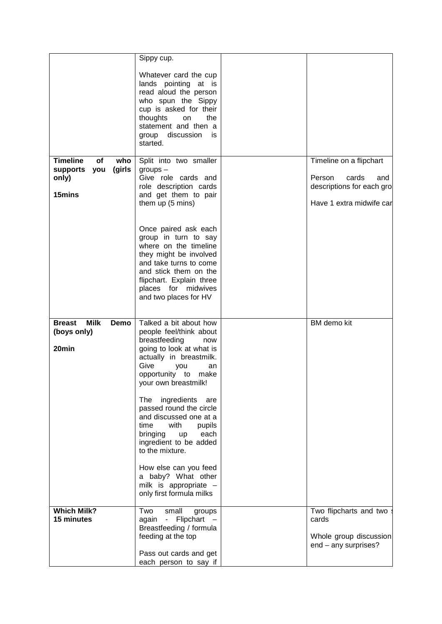|                                                                              | Sippy cup.<br>Whatever card the cup<br>lands pointing at is<br>read aloud the person<br>who spun the Sippy<br>cup is asked for their<br>thoughts<br>on<br>the<br>statement and then a<br>discussion<br>group<br>is<br>started.                                                                                                                                                                                                                                                                 |                                                                                                            |
|------------------------------------------------------------------------------|------------------------------------------------------------------------------------------------------------------------------------------------------------------------------------------------------------------------------------------------------------------------------------------------------------------------------------------------------------------------------------------------------------------------------------------------------------------------------------------------|------------------------------------------------------------------------------------------------------------|
| <b>Timeline</b><br>οf<br>who<br>(girls<br>you<br>supports<br>only)<br>15mins | Split into two smaller<br>$groups -$<br>Give role cards and<br>role description cards<br>and get them to pair<br>them up (5 mins)<br>Once paired ask each<br>group in turn to say<br>where on the timeline<br>they might be involved<br>and take turns to come<br>and stick them on the<br>flipchart. Explain three<br>places for midwives<br>and two places for HV                                                                                                                            | Timeline on a flipchart<br>Person<br>cards<br>and<br>descriptions for each gro<br>Have 1 extra midwife car |
| <b>Milk</b><br><b>Breast</b><br>Demo<br>(boys only)<br>20 <sub>min</sub>     | Talked a bit about how<br>people feel/think about<br>breastfeeding<br>now<br>going to look at what is<br>actually in breastmilk.<br>Give<br>you<br>an<br>opportunity to<br>make<br>your own breastmilk!<br>The<br>ingredients<br>are<br>passed round the circle<br>and discussed one at a<br>time<br>with<br>pupils<br>each<br>bringing<br>up<br>ingredient to be added<br>to the mixture.<br>How else can you feed<br>a baby? What other<br>milk is appropriate -<br>only first formula milks | <b>BM</b> demo kit                                                                                         |
| <b>Which Milk?</b><br>15 minutes                                             | Two<br>small<br>groups<br>Flipchart<br>again<br>$\omega_{\rm c}$<br>Breastfeeding / formula<br>feeding at the top<br>Pass out cards and get<br>each person to say if                                                                                                                                                                                                                                                                                                                           | Two flipcharts and two<br>cards<br>Whole group discussion<br>$end - any surprises?$                        |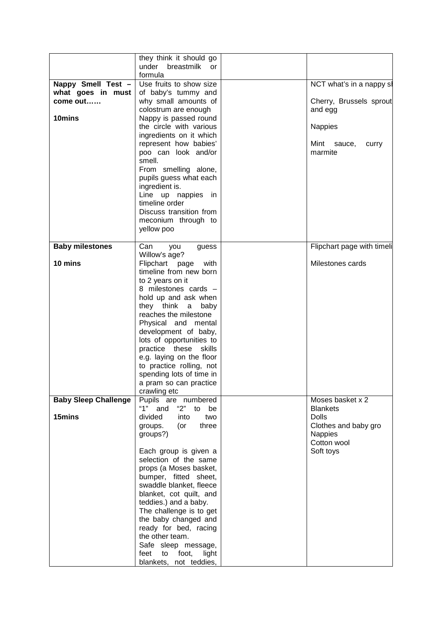|                             | they think it should go       |                            |
|-----------------------------|-------------------------------|----------------------------|
|                             | under<br>breastmilk<br>or     |                            |
|                             | formula                       |                            |
| Nappy Smell Test -          | Use fruits to show size       | NCT what's in a nappy sl   |
| what goes in must           | of baby's tummy and           |                            |
| come out                    | why small amounts of          | Cherry, Brussels sprout    |
|                             | colostrum are enough          | and egg                    |
|                             |                               |                            |
| 10mins                      | Nappy is passed round         |                            |
|                             | the circle with various       | <b>Nappies</b>             |
|                             | ingredients on it which       |                            |
|                             | represent how babies'         | Mint<br>sauce,<br>curry    |
|                             | poo can look and/or           | marmite                    |
|                             | smell.                        |                            |
|                             | From smelling alone,          |                            |
|                             | pupils guess what each        |                            |
|                             |                               |                            |
|                             | ingredient is.                |                            |
|                             | Line up nappies in            |                            |
|                             | timeline order                |                            |
|                             | Discuss transition from       |                            |
|                             | meconium through to           |                            |
|                             | yellow poo                    |                            |
|                             |                               |                            |
| <b>Baby milestones</b>      | Can<br>you<br>guess           | Flipchart page with timeli |
|                             | Willow's age?                 |                            |
| 10 mins                     | Flipchart page                | Milestones cards           |
|                             | with                          |                            |
|                             | timeline from new born        |                            |
|                             | to 2 years on it              |                            |
|                             | 8 milestones cards -          |                            |
|                             | hold up and ask when          |                            |
|                             | they think<br>baby<br>a       |                            |
|                             | reaches the milestone         |                            |
|                             | Physical and mental           |                            |
|                             | development of baby,          |                            |
|                             | lots of opportunities to      |                            |
|                             | practice these skills         |                            |
|                             | e.g. laying on the floor      |                            |
|                             |                               |                            |
|                             | to practice rolling, not      |                            |
|                             | spending lots of time in      |                            |
|                             | a pram so can practice        |                            |
|                             | crawling etc                  |                            |
| <b>Baby Sleep Challenge</b> | Pupils are numbered           | Moses basket x 2           |
|                             | " $1"$ and<br>"2"<br>to<br>be | <b>Blankets</b>            |
| 15mins                      | divided<br>into<br>two        | <b>Dolls</b>               |
|                             | (or<br>groups.<br>three       | Clothes and baby gro       |
|                             | groups?)                      | <b>Nappies</b>             |
|                             |                               | Cotton wool                |
|                             | Each group is given a         | Soft toys                  |
|                             | selection of the same         |                            |
|                             | props (a Moses basket,        |                            |
|                             |                               |                            |
|                             | bumper, fitted sheet,         |                            |
|                             | swaddle blanket, fleece       |                            |
|                             | blanket, cot quilt, and       |                            |
|                             | teddies.) and a baby.         |                            |
|                             | The challenge is to get       |                            |
|                             | the baby changed and          |                            |
|                             | ready for bed, racing         |                            |
|                             | the other team.               |                            |
|                             | Safe sleep message,           |                            |
|                             | feet<br>to<br>foot,<br>light  |                            |
|                             | blankets, not teddies,        |                            |
|                             |                               |                            |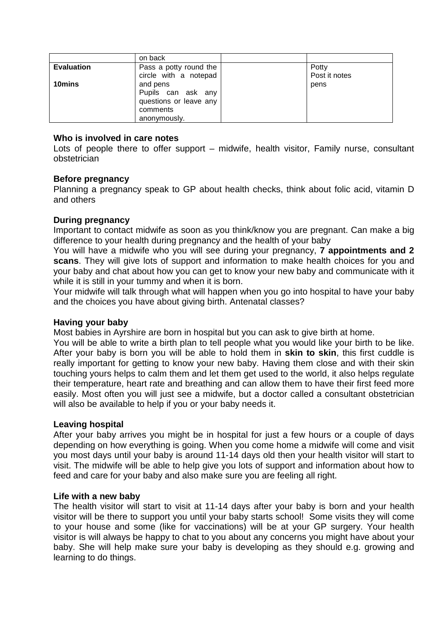|                   | on back                                                                              |                        |
|-------------------|--------------------------------------------------------------------------------------|------------------------|
| <b>Evaluation</b> | Pass a potty round the<br>circle with a notepad                                      | Potty<br>Post it notes |
| 10mins            | and pens<br>Pupils can ask any<br>questions or leave any<br>comments<br>anonymously. | pens                   |

#### **Who is involved in care notes**

Lots of people there to offer support – midwife, health visitor, Family nurse, consultant obstetrician

#### **Before pregnancy**

Planning a pregnancy speak to GP about health checks, think about folic acid, vitamin D and others

### **During pregnancy**

Important to contact midwife as soon as you think/know you are pregnant. Can make a big difference to your health during pregnancy and the health of your baby

You will have a midwife who you will see during your pregnancy, **7 appointments and 2 scans**. They will give lots of support and information to make health choices for you and your baby and chat about how you can get to know your new baby and communicate with it while it is still in your tummy and when it is born.

Your midwife will talk through what will happen when you go into hospital to have your baby and the choices you have about giving birth. Antenatal classes?

#### **Having your baby**

Most babies in Ayrshire are born in hospital but you can ask to give birth at home.

You will be able to write a birth plan to tell people what you would like your birth to be like. After your baby is born you will be able to hold them in **skin to skin**, this first cuddle is really important for getting to know your new baby. Having them close and with their skin touching yours helps to calm them and let them get used to the world, it also helps regulate their temperature, heart rate and breathing and can allow them to have their first feed more easily. Most often you will just see a midwife, but a doctor called a consultant obstetrician will also be available to help if you or your baby needs it.

### **Leaving hospital**

After your baby arrives you might be in hospital for just a few hours or a couple of days depending on how everything is going. When you come home a midwife will come and visit you most days until your baby is around 11-14 days old then your health visitor will start to visit. The midwife will be able to help give you lots of support and information about how to feed and care for your baby and also make sure you are feeling all right.

#### **Life with a new baby**

The health visitor will start to visit at 11-14 days after your baby is born and your health visitor will be there to support you until your baby starts school! Some visits they will come to your house and some (like for vaccinations) will be at your GP surgery. Your health visitor is will always be happy to chat to you about any concerns you might have about your baby. She will help make sure your baby is developing as they should e.g. growing and learning to do things.